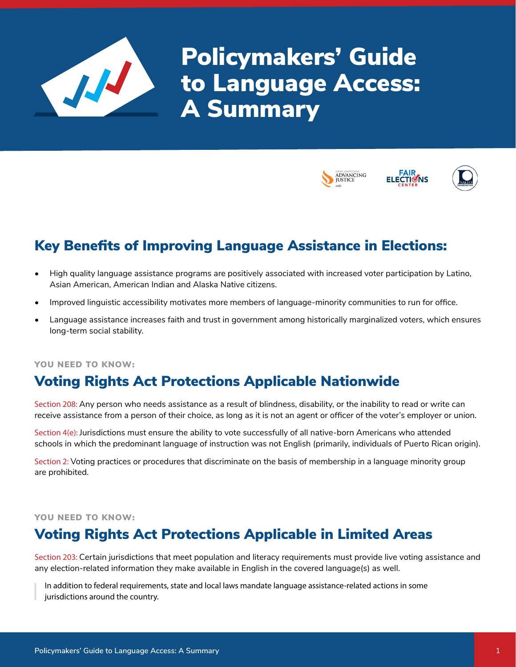

Policymakers' Guide to Language Access: A Summary



# Key Benefits of Improving Language Assistance in Elections:

- High quality language assistance programs are positively associated with increased voter participation by Latino, Asian American, American Indian and Alaska Native citizens.
- Improved linguistic accessibility motivates more members of language-minority communities to run for office.
- Language assistance increases faith and trust in government among historically marginalized voters, which ensures long-term social stability.

#### YOU NEED TO KNOW:

### Voting Rights Act Protections Applicable Nationwide

Section 208: Any person who needs assistance as a result of blindness, disability, or the inability to read or write can receive assistance from a person of their choice, as long as it is not an agent or officer of the voter's employer or union.

Section 4(e): Jurisdictions must ensure the ability to vote successfully of all native-born Americans who attended schools in which the predominant language of instruction was not English (primarily, individuals of Puerto Rican origin).

Section 2: Voting practices or procedures that discriminate on the basis of membership in a language minority group are prohibited.

#### YOU NEED TO KNOW:

## Voting Rights Act Protections Applicable in Limited Areas

Section 203: Certain jurisdictions that meet population and literacy requirements must provide live voting assistance and any election-related information they make available in English in the covered language(s) as well.

In addition to federal requirements, state and local laws mandate language assistance-related actions in some jurisdictions around the country.